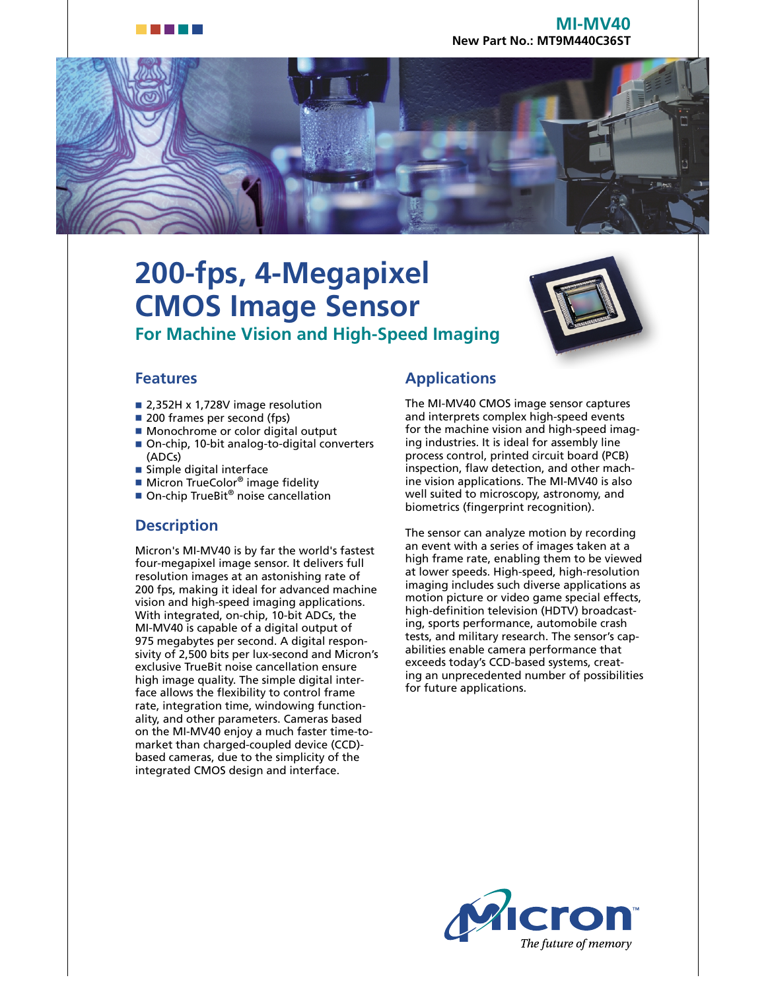



# **200-fps, 4-Megapixel CMOS Image Sensor For Machine Vision and High-Speed Imaging**



#### **Features**

- 2,352H x 1,728V image resolution
- 200 frames per second (fps)
- Monochrome or color digital output
- On-chip, 10-bit analog-to-digital converters (ADCs)
- Simple digital interface
- Micron TrueColor<sup>®</sup> image fidelity
- On-chip TrueBit<sup>®</sup> noise cancellation

#### **Description**

Micron's MI-MV40 is by far the world's fastest four-megapixel image sensor. It delivers full resolution images at an astonishing rate of 200 fps, making it ideal for advanced machine vision and high-speed imaging applications. With integrated, on-chip, 10-bit ADCs, the MI-MV40 is capable of a digital output of 975 megabytes per second. A digital responsivity of 2,500 bits per lux-second and Micron's exclusive TrueBit noise cancellation ensure high image quality. The simple digital interface allows the flexibility to control frame rate, integration time, windowing functionality, and other parameters. Cameras based on the MI-MV40 enjoy a much faster time-tomarket than charged-coupled device (CCD) based cameras, due to the simplicity of the integrated CMOS design and interface.

# **Applications**

The MI-MV40 CMOS image sensor captures and interprets complex high-speed events for the machine vision and high-speed imaging industries. It is ideal for assembly line process control, printed circuit board (PCB) inspection, flaw detection, and other machine vision applications. The MI-MV40 is also well suited to microscopy, astronomy, and biometrics (fingerprint recognition).

The sensor can analyze motion by recording an event with a series of images taken at a high frame rate, enabling them to be viewed at lower speeds. High-speed, high-resolution imaging includes such diverse applications as motion picture or video game special effects, high-definition television (HDTV) broadcasting, sports performance, automobile crash tests, and military research. The sensor's capabilities enable camera performance that exceeds today's CCD-based systems, creating an unprecedented number of possibilities for future applications.